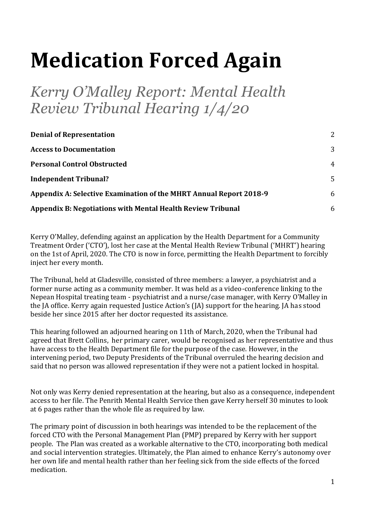# **Medication Forced Again**

*Kerry O'Malley Report: Mental Health Review Tribunal Hearing 1/4/20* 

| <b>Denial of Representation</b>                                    | 2              |
|--------------------------------------------------------------------|----------------|
| <b>Access to Documentation</b>                                     | 3              |
| <b>Personal Control Obstructed</b>                                 | $\overline{4}$ |
| <b>Independent Tribunal?</b>                                       | 5              |
| Appendix A: Selective Examination of the MHRT Annual Report 2018-9 | 6              |
| <b>Appendix B: Negotiations with Mental Health Review Tribunal</b> | 6              |

Kerry O'Malley, defending against an application by the Health Department for a Community Treatment Order ('CTO'), lost her case at the Mental Health Review Tribunal ('MHRT') hearing on the 1st of April, 2020. The CTO is now in force, permitting the Health Department to forcibly inject her every month.

The Tribunal, held at Gladesville, consisted of three members: a lawyer, a psychiatrist and a former nurse acting as a community member. It was held as a video-conference linking to the Nepean Hospital treating team - psychiatrist and a nurse/case manager, with Kerry O'Malley in the JA office. Kerry again requested Justice Action's (JA) support for the hearing. JA has stood beside her since 2015 after her doctor requested its assistance.

This hearing followed an adjourned hearing on 11th of March, 2020, when the Tribunal had agreed that Brett Collins, her primary carer, would be recognised as her representative and thus have access to the Health Department file for the purpose of the case. However, in the intervening period, two Deputy Presidents of the Tribunal overruled the hearing decision and said that no person was allowed representation if they were not a patient locked in hospital.

Not only was Kerry denied representation at the hearing, but also as a consequence, independent access to her file. The Penrith Mental Health Service then gave Kerry herself 30 minutes to look at 6 pages rather than the whole file as required by law.

The primary point of discussion in both hearings was intended to be the replacement of the forced CTO with the Personal Management Plan (PMP) prepared by Kerry with her support people. The Plan was created as a workable alternative to the CTO, incorporating both medical and social intervention strategies. Ultimately, the Plan aimed to enhance Kerry's autonomy over her own life and mental health rather than her feeling sick from the side effects of the forced medication.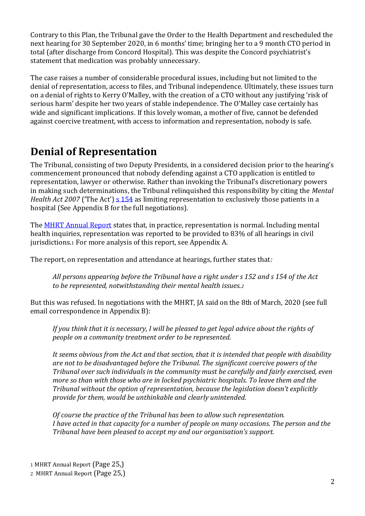Contrary to this Plan, the Tribunal gave the Order to the Health Department and rescheduled the next hearing for 30 September 2020, in 6 months' time; bringing her to a 9 month CTO period in total (after discharge from Concord Hospital). This was despite the Concord psychiatrist's statement that medication was probably unnecessary.

The case raises a number of considerable procedural issues, including but not limited to the denial of representation, access to files, and Tribunal independence. Ultimately, these issues turn on a denial of rights to Kerry O'Malley, with the creation of a CTO without any justifying 'risk of serious harm' despite her two years of stable independence. The O'Malley case certainly has wide and significant implications. If this lovely woman, a mother of five, cannot be defended against coercive treatment, with access to information and representation, nobody is safe.

## <span id="page-1-0"></span>**Denial of Representation**

The Tribunal, consisting of two Deputy Presidents, in a considered decision prior to the hearing's commencement pronounced that nobody defending against a CTO application is entitled to representation, lawyer or otherwise. Rather than invoking the Tribunal's discretionary powers in making such determinations, the Tribunal relinquished this responsibility by citing the *Mental Health Act 2007* ('The Act') [s 154](http://www5.austlii.edu.au/au/legis/nsw/consol_act/mha2007128/s154.html) as limiting representation to exclusively those patients in a hospital (See Appendix B for the full negotiations).

The [MHRT Annual Report](https://mhrt.nsw.gov.au/files/mhrt/pdf/MHRT%20Annual%20Report%202018%2019%20-%20Final.pdf) states that, in practice, representation is normal. Including mental health inquiries, representation was reported to be provided to 83% of all hearings in civil jurisdictions.<sup>1</sup> For more analysis of this report, see Appendix A.

The report, on representation and attendance at hearings, further states that*:* 

*All persons appearing before the Tribunal have a right under s 152 and s 154 of the Act to be represented, notwithstanding their mental health issues.<sup>2</sup>*

But this was refused. In negotiations with the MHRT, JA said on the 8th of March, 2020 (see full email correspondence in Appendix B):

*If you think that it is necessary, I will be pleased to get legal advice about the rights of people on a community treatment order to be represented.* 

*It seems obvious from the Act and that section, that it is intended that people with disability are not to be disadvantaged before the Tribunal. The significant coercive powers of the Tribunal over such individuals in the community must be carefully and fairly exercised, even more so than with those who are in locked psychiatric hospitals. To leave them and the Tribunal without the option of representation, because the legislation doesn't explicitly provide for them, would be unthinkable and clearly unintended.*

*Of course the practice of the Tribunal has been to allow such representation. I have acted in that capacity for a number of people on many occasions. The person and the Tribunal have been pleased to accept my and our organisation's support.*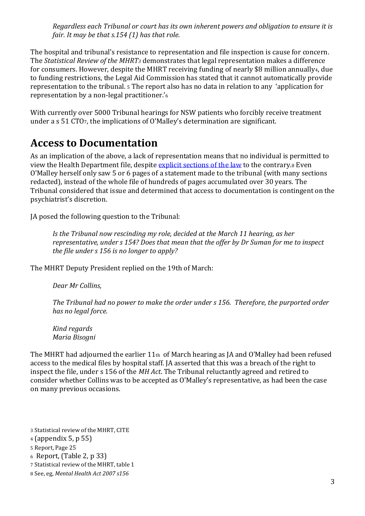*Regardless each Tribunal or court has its own inherent powers and obligation to ensure it is fair. It may be that s.154 (1) has that role.*

The hospital and tribunal's resistance to representation and file inspection is cause for concern. The *Statistical Review of the MHRT<sup>3</sup>* demonstrates that legal representation makes a difference for consumers. However, despite the MHRT receiving funding of nearly \$8 million annually4, due to funding restrictions, the Legal Aid Commission has stated that it cannot automatically provide representation to the tribunal. <sup>5</sup> The report also has no data in relation to any 'application for representation by a non-legal practitioner.'<sup>6</sup>

With currently over 5000 Tribunal hearings for NSW patients who forcibly receive treatment under a s 51 CTO7, the implications of O'Malley's determination are significant.

## <span id="page-2-0"></span>**Access to Documentation**

As an implication of the above, a lack of representation means that no individual is permitted to view the Health Department file, despite [explicit sections of the law](http://classic.austlii.edu.au/au/legis/nsw/consol_act/mha2007128/s156.html) to the contrary.8 Even O'Malley herself only saw 5 or 6 pages of a statement made to the tribunal (with many sections redacted), instead of the whole file of hundreds of pages accumulated over 30 years. The Tribunal considered that issue and determined that access to documentation is contingent on the psychiatrist's discretion.

JA posed the following question to the Tribunal:

*Is the Tribunal now rescinding my role, decided at the March 11 hearing, as her representative, under s 154? Does that mean that the offer by Dr Suman for me to inspect the file under s 156 is no longer to apply?*

The MHRT Deputy President replied on the 19th of March:

*Dear Mr Collins,* 

*The Tribunal had no power to make the order under s 156. Therefore, the purported order has no legal force.*

*Kind regards Maria Bisogni*

The MHRT had adjourned the earlier 11th of March hearing as JA and O'Malley had been refused access to the medical files by hospital staff. JA asserted that this was a breach of the right to inspect the file, under s 156 of the *MH Act*. The Tribunal reluctantly agreed and retired to consider whether Collins was to be accepted as O'Malley's representative, as had been the case on many previous occasions.

3 Statistical review of the MHRT, CITE

<sup>6</sup> Report, (Table 2, p 33)

<sup>4</sup> (appendix 5, p 55)

<sup>5</sup> Report, Page 25

<sup>7</sup> Statistical review of the MHRT, table 1

<sup>8</sup> See, eg, *Mental Health Act 2007 s156*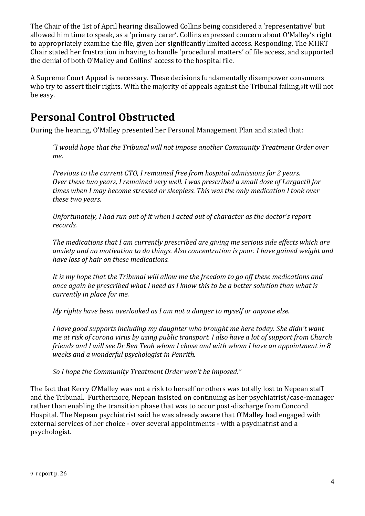The Chair of the 1st of April hearing disallowed Collins being considered a 'representative' but allowed him time to speak, as a 'primary carer'. Collins expressed concern about O'Malley's right to appropriately examine the file, given her significantly limited access. Responding, The MHRT Chair stated her frustration in having to handle 'procedural matters' of file access, and supported the denial of both O'Malley and Collins' access to the hospital file.

A Supreme Court Appeal is necessary. These decisions fundamentally disempower consumers who try to assert their rights. With the majority of appeals against the Tribunal failing, 9it will not be easy.

# <span id="page-3-0"></span>**Personal Control Obstructed**

During the hearing, O'Malley presented her Personal Management Plan and stated that:

*"I would hope that the Tribunal will not impose another Community Treatment Order over me.*

*Previous to the current CTO, I remained free from hospital admissions for 2 years. Over these two years, I remained very well. I was prescribed a small dose of Largactil for times when I may become stressed or sleepless. This was the only medication I took over these two years.*

*Unfortunately, I had run out of it when I acted out of character as the doctor's report records.*

*The medications that I am currently prescribed are giving me serious side effects which are anxiety and no motivation to do things. Also concentration is poor. I have gained weight and have loss of hair on these medications.*

*It is my hope that the Tribunal will allow me the freedom to go off these medications and once again be prescribed what I need as I know this to be a better solution than what is currently in place for me.*

*My rights have been overlooked as I am not a danger to myself or anyone else.*

*I have good supports including my daughter who brought me here today. She didn't want me at risk of corona virus by using public transport. I also have a lot of support from Church friends and I will see Dr Ben Teoh whom I chose and with whom I have an appointment in 8 weeks and a wonderful psychologist in Penrith.*

*So I hope the Community Treatment Order won't be imposed."*

The fact that Kerry O'Malley was not a risk to herself or others was totally lost to Nepean staff and the Tribunal. Furthermore, Nepean insisted on continuing as her psychiatrist/case-manager rather than enabling the transition phase that was to occur post-discharge from Concord Hospital. The Nepean psychiatrist said he was already aware that O'Malley had engaged with external services of her choice - over several appointments - with a psychiatrist and a psychologist.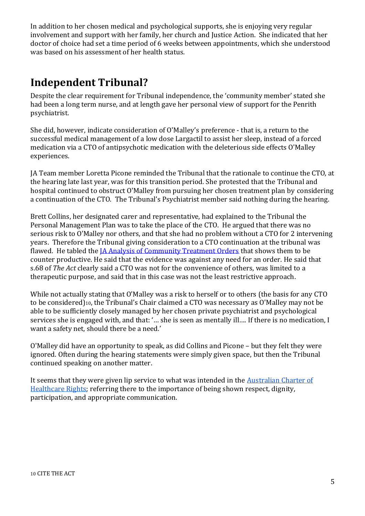In addition to her chosen medical and psychological supports, she is enjoying very regular involvement and support with her family, her church and Justice Action. She indicated that her doctor of choice had set a time period of 6 weeks between appointments, which she understood was based on his assessment of her health status.

# <span id="page-4-0"></span>**Independent Tribunal?**

Despite the clear requirement for Tribunal independence, the 'community member' stated she had been a long term nurse, and at length gave her personal view of support for the Penrith psychiatrist.

She did, however, indicate consideration of O'Malley's preference - that is, a return to the successful medical management of a low dose Largactil to assist her sleep, instead of a forced medication via a CTO of antipsychotic medication with the deleterious side effects O'Malley experiences.

JA Team member Loretta Picone reminded the Tribunal that the rationale to continue the CTO, at the hearing late last year, was for this transition period. She protested that the Tribunal and hospital continued to obstruct O'Malley from pursuing her chosen treatment plan by considering a continuation of the CTO. The Tribunal's Psychiatrist member said nothing during the hearing.

Brett Collins, her designated carer and representative, had explained to the Tribunal the Personal Management Plan was to take the place of the CTO. He argued that there was no serious risk to O'Malley nor others, and that she had no problem without a CTO for 2 intervening years. Therefore the Tribunal giving consideration to a CTO continuation at the tribunal was flawed. He tabled the [JA Analysis of Community Treatment Orders](https://www.justiceaction.org.au/mental-health/mental-illness-issues/community-treatment-orders) that shows them to be counter productive. He said that the evidence was against any need for an order. He said that s.68 of *The Act* clearly said a CTO was not for the convenience of others, was limited to a therapeutic purpose, and said that in this case was not the least restrictive approach.

While not actually stating that O'Malley was a risk to herself or to others (the basis for any CTO to be considered)10, the Tribunal's Chair claimed a CTO was necessary as O'Malley may not be able to be sufficiently closely managed by her chosen private psychiatrist and psychological services she is engaged with, and that: '… she is seen as mentally ill…. If there is no medication, I want a safety net, should there be a need.'

O'Malley did have an opportunity to speak, as did Collins and Picone – but they felt they were ignored. Often during the hearing statements were simply given space, but then the Tribunal continued speaking on another matter.

It seems that they were given lip service to what was intended in the [Australian Charter of](https://www.safetyandquality.gov.au/publications-and-resources/resource-library/australian-charter-healthcare-rights-second-edition-a4-accessible)  [Healthcare Rights;](https://www.safetyandquality.gov.au/publications-and-resources/resource-library/australian-charter-healthcare-rights-second-edition-a4-accessible) referring there to the importance of being shown respect, dignity, participation, and appropriate communication.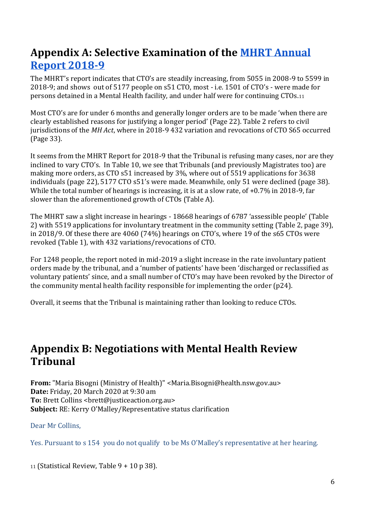# <span id="page-5-0"></span>**Appendix A: Selective Examination of the [MHRT Annual](https://mhrt.nsw.gov.au/files/mhrt/pdf/MHRT%20Annual%20Report%202018%2019%20-%20Final.pdf)  [Report 2018-9](https://mhrt.nsw.gov.au/files/mhrt/pdf/MHRT%20Annual%20Report%202018%2019%20-%20Final.pdf)**

The MHRT's report indicates that CTO's are steadily increasing, from 5055 in 2008-9 to 5599 in 2018-9; and shows out of 5177 people on s51 CTO, most - i.e. 1501 of CTO's - were made for persons detained in a Mental Health facility, and under half were for continuing CTOs.<sup>11</sup>

Most CTO's are for under 6 months and generally longer orders are to be made 'when there are clearly established reasons for justifying a longer period' (Page 22). Table 2 refers to civil jurisdictions of the *MH Act*, where in 2018-9 432 variation and revocations of CTO S65 occurred (Page 33).

It seems from the MHRT Report for 2018-9 that the Tribunal is refusing many cases, nor are they inclined to vary CTO's. In Table 10, we see that Tribunals (and previously Magistrates too) are making more orders, as CTO s51 increased by 3%, where out of 5519 applications for 3638 individuals (page 22), 5177 CTO s51's were made. Meanwhile, only 51 were declined (page 38). While the total number of hearings is increasing, it is at a slow rate, of  $+0.7\%$  in 2018-9, far slower than the aforementioned growth of CTOs (Table A).

The MHRT saw a slight increase in hearings - 18668 hearings of 6787 'assessible people' (Table 2) with 5519 applications for involuntary treatment in the community setting (Table 2, page 39), in 2018/9. Of these there are 4060 (74%) hearings on CTO's, where 19 of the s65 CTOs were revoked (Table 1), with 432 variations/revocations of CTO.

For 1248 people, the report noted in mid-2019 a slight increase in the rate involuntary patient orders made by the tribunal, and a 'number of patients' have been 'discharged or reclassified as voluntary patients' since, and a small number of CTO's may have been revoked by the Director of the community mental health facility responsible for implementing the order (p24).

<span id="page-5-1"></span>Overall, it seems that the Tribunal is maintaining rather than looking to reduce CTOs.

## **Appendix B: Negotiations with Mental Health Review Tribunal**

**From:** "Maria Bisogni (Ministry of Health)" <Maria.Bisogni@health.nsw.gov.au> **Date:** Friday, 20 March 2020 at 9:30 am **To:** Brett Collins <brett@justiceaction.org.au> **Subject:** RE: Kerry O'Malley/Representative status clarification

### Dear Mr Collins,

Yes. Pursuant to s 154 you do not qualify to be Ms O'Malley's representative at her hearing.

<sup>11</sup> (Statistical Review, Table 9 + 10 p 38).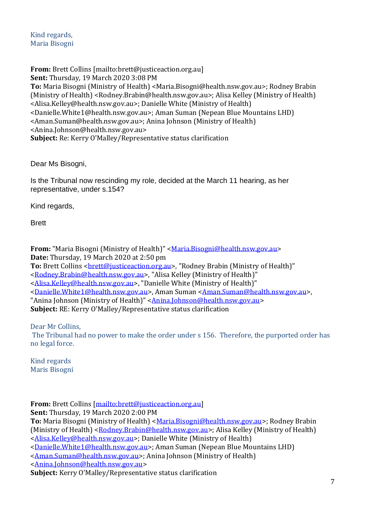Kind regards, Maria Bisogni

**From:** Brett Collins [mailto:brett@justiceaction.org.au] **Sent:** Thursday, 19 March 2020 3:08 PM **To:** Maria Bisogni (Ministry of Health) <Maria.Bisogni@health.nsw.gov.au>; Rodney Brabin (Ministry of Health) <Rodney.Brabin@health.nsw.gov.au>; Alisa Kelley (Ministry of Health) <Alisa.Kelley@health.nsw.gov.au>; Danielle White (Ministry of Health) <Danielle.White1@health.nsw.gov.au>; Aman Suman (Nepean Blue Mountains LHD) <Aman.Suman@health.nsw.gov.au>; Anina Johnson (Ministry of Health) <Anina.Johnson@health.nsw.gov.au> **Subject:** Re: Kerry O'Malley/Representative status clarification

Dear Ms Bisogni,

Is the Tribunal now rescinding my role, decided at the March 11 hearing, as her representative, under s.154?

Kind regards,

Brett

**From:** "Maria Bisogni (Ministry of Health)" [<Maria.Bisogni@health.nsw.gov.au>](mailto:Maria.Bisogni@health.nsw.gov.au) **Date:** Thursday, 19 March 2020 at 2:50 pm **To:** Brett Collins [<brett@justiceaction.org.au>](mailto:brett@justiceaction.org.au), "Rodney Brabin (Ministry of Health)" [<Rodney.Brabin@health.nsw.gov.au>](mailto:Rodney.Brabin@health.nsw.gov.au), "Alisa Kelley (Ministry of Health)" [<Alisa.Kelley@health.nsw.gov.au>](mailto:Alisa.Kelley@health.nsw.gov.au), "Danielle White (Ministry of Health)" [<Danielle.White1@health.nsw.gov.au>](mailto:Danielle.White1@health.nsw.gov.au), Aman Suman [<Aman.Suman@health.nsw.gov.au>](mailto:Aman.Suman@health.nsw.gov.au), "Anina Johnson (Ministry of Health)" [<Anina.Johnson@health.nsw.gov.au>](mailto:Anina.Johnson@health.nsw.gov.au) **Subject:** RE: Kerry O'Malley/Representative status clarification

Dear Mr Collins,

The Tribunal had no power to make the order under s 156. Therefore, the purported order has no legal force.

Kind regards Maris Bisogni

**From:** Brett Collins [\[mailto:brett@justiceaction.org.au\]](mailto:brett@justiceaction.org.au)

**Sent:** Thursday, 19 March 2020 2:00 PM

**To:** Maria Bisogni (Ministry of Health) < Maria. Bisogni@health.nsw.gov.au >; Rodney Brabin (Ministry of Health) [<Rodney.Brabin@health.nsw.gov.au>](mailto:Rodney.Brabin@health.nsw.gov.au); Alisa Kelley (Ministry of Health) [<Alisa.Kelley@health.nsw.gov.au>](mailto:Alisa.Kelley@health.nsw.gov.au); Danielle White (Ministry of Health)

[<Danielle.White1@health.nsw.gov.au>](mailto:Danielle.White1@health.nsw.gov.au); Aman Suman (Nepean Blue Mountains LHD)

[<Aman.Suman@health.nsw.gov.au>](mailto:Aman.Suman@health.nsw.gov.au); Anina Johnson (Ministry of Health)

[<Anina.Johnson@health.nsw.gov.au>](mailto:Anina.Johnson@health.nsw.gov.au)

**Subject:** Kerry O'Malley/Representative status clarification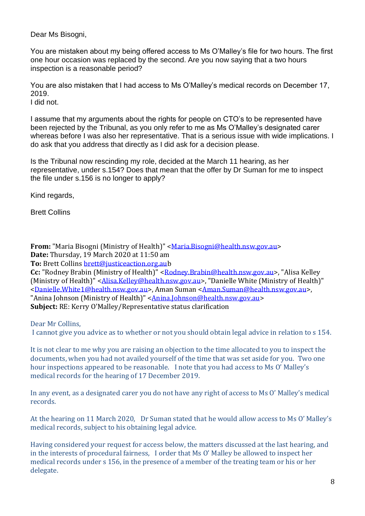Dear Ms Bisogni,

You are mistaken about my being offered access to Ms O'Malley's file for two hours. The first one hour occasion was replaced by the second. Are you now saying that a two hours inspection is a reasonable period?

You are also mistaken that I had access to Ms O'Malley's medical records on December 17, 2019.

I did not.

I assume that my arguments about the rights for people on CTO's to be represented have been rejected by the Tribunal, as you only refer to me as Ms O'Malley's designated carer whereas before I was also her representative. That is a serious issue with wide implications. I do ask that you address that directly as I did ask for a decision please.

Is the Tribunal now rescinding my role, decided at the March 11 hearing, as her representative, under s.154? Does that mean that the offer by Dr Suman for me to inspect the file under s.156 is no longer to apply?

Kind regards,

Brett Collins

**From:** "Maria Bisogni (Ministry of Health)" [<Maria.Bisogni@health.nsw.gov.au>](mailto:Maria.Bisogni@health.nsw.gov.au) **Date:** Thursday, 19 March 2020 at 11:50 am

**To:** Brett Collins [brett@justiceaction.org.aub](mailto:brett@justiceaction.org.au)

Cc: "Rodney Brabin (Ministry of Health)" [<Rodney.Brabin@health.nsw.gov.au>](mailto:Rodney.Brabin@health.nsw.gov.au), "Alisa Kelley (Ministry of Health)" [<Alisa.Kelley@health.nsw.gov.au>](mailto:Alisa.Kelley@health.nsw.gov.au), "Danielle White (Ministry of Health)" [<Danielle.White1@health.nsw.gov.au>](mailto:Danielle.White1@health.nsw.gov.au), Aman Suman [<Aman.Suman@health.nsw.gov.au>](mailto:Aman.Suman@health.nsw.gov.au), "Anina Johnson (Ministry of Health)" [<Anina.Johnson@health.nsw.gov.au>](mailto:Anina.Johnson@health.nsw.gov.au) **Subject:** RE: Kerry O'Malley/Representative status clarification

Dear Mr Collins,

I cannot give you advice as to whether or not you should obtain legal advice in relation to s 154.

It is not clear to me why you are raising an objection to the time allocated to you to inspect the documents, when you had not availed yourself of the time that was set aside for you. Two one hour inspections appeared to be reasonable. I note that you had access to Ms O' Malley's medical records for the hearing of 17 December 2019.

In any event, as a designated carer you do not have any right of access to Ms O' Malley's medical records.

At the hearing on 11 March 2020, Dr Suman stated that he would allow access to Ms O' Malley's medical records, subject to his obtaining legal advice.

Having considered your request for access below, the matters discussed at the last hearing, and in the interests of procedural fairness, I order that Ms O' Malley be allowed to inspect her medical records under s 156, in the presence of a member of the treating team or his or her delegate.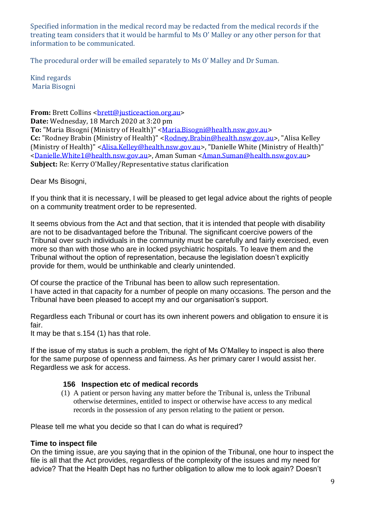Specified information in the medical record may be redacted from the medical records if the treating team considers that it would be harmful to Ms O' Malley or any other person for that information to be communicated.

The procedural order will be emailed separately to Ms O' Malley and Dr Suman.

Kind regards Maria Bisogni

**From:** Brett Collins < brett@iusticeaction.org.au> **Date:** Wednesday, 18 March 2020 at 3:20 pm **To:** "Maria Bisogni (Ministry of Health)" [<Maria.Bisogni@health.nsw.gov.au>](mailto:Maria.Bisogni@health.nsw.gov.au) Cc: "Rodney Brabin (Ministry of Health)" [<Rodney.Brabin@health.nsw.gov.au>](mailto:Rodney.Brabin@health.nsw.gov.au), "Alisa Kelley (Ministry of Health)" [<Alisa.Kelley@health.nsw.gov.au>](mailto:Alisa.Kelley@health.nsw.gov.au), "Danielle White (Ministry of Health)" [<Danielle.White1@health.nsw.gov.au>](mailto:Danielle.White1@health.nsw.gov.au), Aman Suman [<Aman.Suman@health.nsw.gov.au>](mailto:Aman.Suman@health.nsw.gov.au) **Subject:** Re: Kerry O'Malley/Representative status clarification

Dear Ms Bisogni,

If you think that it is necessary, I will be pleased to get legal advice about the rights of people on a community treatment order to be represented.

It seems obvious from the Act and that section, that it is intended that people with disability are not to be disadvantaged before the Tribunal. The significant coercive powers of the Tribunal over such individuals in the community must be carefully and fairly exercised, even more so than with those who are in locked psychiatric hospitals. To leave them and the Tribunal without the option of representation, because the legislation doesn't explicitly provide for them, would be unthinkable and clearly unintended.

Of course the practice of the Tribunal has been to allow such representation. I have acted in that capacity for a number of people on many occasions. The person and the Tribunal have been pleased to accept my and our organisation's support.

Regardless each Tribunal or court has its own inherent powers and obligation to ensure it is fair.

It may be that s.154 (1) has that role.

If the issue of my status is such a problem, the right of Ms O'Malley to inspect is also there for the same purpose of openness and fairness. As her primary carer I would assist her. Regardless we ask for access.

## **156 Inspection etc of medical records**

(1) A patient or person having any matter before the Tribunal is, unless the Tribunal otherwise determines, entitled to inspect or otherwise have access to any medical records in the possession of any person relating to the patient or person.

Please tell me what you decide so that I can do what is required?

## **Time to inspect file**

On the timing issue, are you saying that in the opinion of the Tribunal, one hour to inspect the file is all that the Act provides, regardless of the complexity of the issues and my need for advice? That the Health Dept has no further obligation to allow me to look again? Doesn't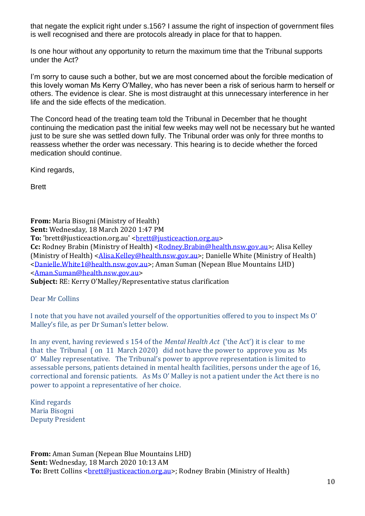that negate the explicit right under s.156? I assume the right of inspection of government files is well recognised and there are protocols already in place for that to happen.

Is one hour without any opportunity to return the maximum time that the Tribunal supports under the Act?

I'm sorry to cause such a bother, but we are most concerned about the forcible medication of this lovely woman Ms Kerry O'Malley, who has never been a risk of serious harm to herself or others. The evidence is clear. She is most distraught at this unnecessary interference in her life and the side effects of the medication.

The Concord head of the treating team told the Tribunal in December that he thought continuing the medication past the initial few weeks may well not be necessary but he wanted just to be sure she was settled down fully. The Tribunal order was only for three months to reassess whether the order was necessary. This hearing is to decide whether the forced medication should continue.

Kind regards,

Brett

**From:** Maria Bisogni (Ministry of Health) **Sent:** Wednesday, 18 March 2020 1:47 PM **To:** 'brett@justiceaction.org.au' < brett@justiceaction.org.au> **Cc:** Rodney Brabin (Ministry of Health) [<Rodney.Brabin@health.nsw.gov.au>](mailto:Rodney.Brabin@health.nsw.gov.au); Alisa Kelley (Ministry of Health) [<Alisa.Kelley@health.nsw.gov.au>](mailto:Alisa.Kelley@health.nsw.gov.au); Danielle White (Ministry of Health) [<Danielle.White1@health.nsw.gov.au>](mailto:Danielle.White1@health.nsw.gov.au); Aman Suman (Nepean Blue Mountains LHD) [<Aman.Suman@health.nsw.gov.au>](mailto:Aman.Suman@health.nsw.gov.au) **Subject:** RE: Kerry O'Malley/Representative status clarification

Dear Mr Collins

I note that you have not availed yourself of the opportunities offered to you to inspect Ms O' Malley's file, as per Dr Suman's letter below.

In any event, having reviewed s 154 of the *Mental Health Act* ('the Act') it is clear to me that the Tribunal ( on 11 March 2020) did not have the power to approve you as Ms O' Malley representative. The Tribunal's power to approve representation is limited to assessable persons, patients detained in mental health facilities, persons under the age of 16, correctional and forensic patients. As Ms O' Malley is not a patient under the Act there is no power to appoint a representative of her choice.

Kind regards Maria Bisogni Deputy President

**From:** Aman Suman (Nepean Blue Mountains LHD) **Sent:** Wednesday, 18 March 2020 10:13 AM **To:** Brett Collins <br *stett@justiceaction.org.au>*; Rodney Brabin (Ministry of Health)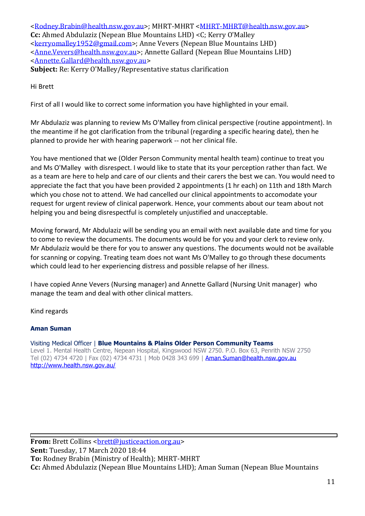[<Rodney.Brabin@health.nsw.gov.au>](mailto:Rodney.Brabin@health.nsw.gov.au); MHRT-MHRT [<MHRT-MHRT@health.nsw.gov.au>](mailto:MHRT-MHRT@health.nsw.gov.au) **Cc:** Ahmed Abdulaziz (Nepean Blue Mountains LHD) <C; Kerry O'Malley [<kerryomalley1952@gmail.com>](mailto:kerryomalley1952@gmail.com); Anne Vevers (Nepean Blue Mountains LHD) [<Anne.Vevers@health.nsw.gov.au>](mailto:Anne.Vevers@health.nsw.gov.au); Annette Gallard (Nepean Blue Mountains LHD) [<Annette.Gallard@health.nsw.gov.au>](mailto:Annette.Gallard@health.nsw.gov.au) **Subject:** Re: Kerry O'Malley/Representative status clarification

Hi Brett

First of all I would like to correct some information you have highlighted in your email.

Mr Abdulaziz was planning to review Ms O'Malley from clinical perspective (routine appointment). In the meantime if he got clarification from the tribunal (regarding a specific hearing date), then he planned to provide her with hearing paperwork -- not her clinical file.

You have mentioned that we (Older Person Community mental health team) continue to treat you and Ms O'Malley with disrespect. I would like to state that its your perception rather than fact. We as a team are here to help and care of our clients and their carers the best we can. You would need to appreciate the fact that you have been provided 2 appointments (1 hr each) on 11th and 18th March which you chose not to attend. We had cancelled our clinical appointments to accomodate your request for urgent review of clinical paperwork. Hence, your comments about our team about not helping you and being disrespectful is completely unjustified and unacceptable.

Moving forward, Mr Abdulaziz will be sending you an email with next available date and time for you to come to review the documents. The documents would be for you and your clerk to review only. Mr Abdulaziz would be there for you to answer any questions. The documents would not be available for scanning or copying. Treating team does not want Ms O'Malley to go through these documents which could lead to her experiencing distress and possible relapse of her illness.

I have copied Anne Vevers (Nursing manager) and Annette Gallard (Nursing Unit manager) who manage the team and deal with other clinical matters.

Kind regards

### **Aman Suman**

Visiting Medical Officer | **Blue Mountains & Plains Older Person Community Teams** Level 1. Mental Health Centre, Nepean Hospital, Kingswood NSW 2750. P.O. Box 63, Penrith NSW 2750 Tel (02) 4734 4720 | Fax (02) 4734 4731 | Mob 0428 343 699 | **Aman.Suman@health.nsw.gov.au** <http://www.health.nsw.gov.au/>

**From:** Brett Collins < brett@justiceaction.org.au> **Sent:** Tuesday, 17 March 2020 18:44 **To:** Rodney Brabin (Ministry of Health); MHRT-MHRT **Cc:** Ahmed Abdulaziz (Nepean Blue Mountains LHD); Aman Suman (Nepean Blue Mountains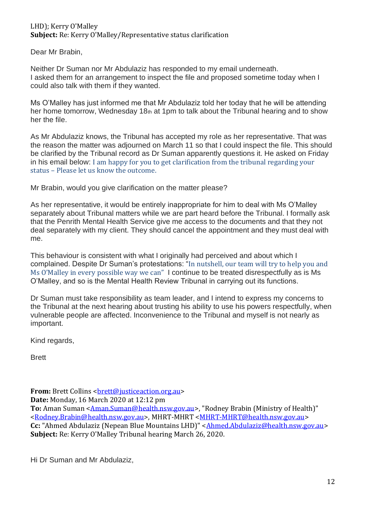LHD); Kerry O'Malley **Subject:** Re: Kerry O'Malley/Representative status clarification

Dear Mr Brabin,

Neither Dr Suman nor Mr Abdulaziz has responded to my email underneath. I asked them for an arrangement to inspect the file and proposed sometime today when I could also talk with them if they wanted.

Ms O'Malley has just informed me that Mr Abdulaziz told her today that he will be attending her home tomorrow. Wednesday 18th at 1pm to talk about the Tribunal hearing and to show her the file.

As Mr Abdulaziz knows, the Tribunal has accepted my role as her representative. That was the reason the matter was adjourned on March 11 so that I could inspect the file. This should be clarified by the Tribunal record as Dr Suman apparently questions it. He asked on Friday in his email below: I am happy for you to get clarification from the tribunal regarding your status – Please let us know the outcome.

Mr Brabin, would you give clarification on the matter please?

As her representative, it would be entirely inappropriate for him to deal with Ms O'Malley separately about Tribunal matters while we are part heard before the Tribunal. I formally ask that the Penrith Mental Health Service give me access to the documents and that they not deal separately with my client. They should cancel the appointment and they must deal with me.

This behaviour is consistent with what I originally had perceived and about which I complained. Despite Dr Suman's protestations: "In nutshell, our team will try to help you and Ms O'Malley in every possible way we can" I continue to be treated disrespectfully as is Ms O'Malley, and so is the Mental Health Review Tribunal in carrying out its functions.

Dr Suman must take responsibility as team leader, and I intend to express my concerns to the Tribunal at the next hearing about trusting his ability to use his powers respectfully, when vulnerable people are affected. Inconvenience to the Tribunal and myself is not nearly as important.

Kind regards,

Brett

**From:** Brett Collins <br />
<u>brett@justiceaction.org.au</u>>

**Date:** Monday, 16 March 2020 at 12:12 pm

**To:** Aman Suman [<Aman.Suman@health.nsw.gov.au>](mailto:Aman.Suman@health.nsw.gov.au), "Rodney Brabin (Ministry of Health)" [<Rodney.Brabin@health.nsw.gov.au>](mailto:Rodney.Brabin@health.nsw.gov.au), MHRT-MHRT [<MHRT-MHRT@health.nsw.gov.au>](mailto:MHRT-MHRT@health.nsw.gov.au) **Cc:** "Ahmed Abdulaziz (Nepean Blue Mountains LHD)" [<Ahmed.Abdulaziz@health.nsw.gov.au>](mailto:Ahmed.Abdulaziz@health.nsw.gov.au) **Subject:** Re: Kerry O'Malley Tribunal hearing March 26, 2020.

Hi Dr Suman and Mr Abdulaziz,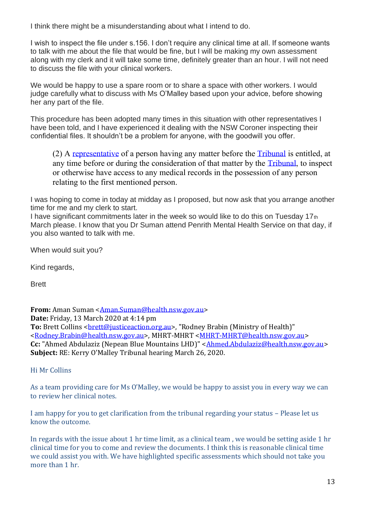I think there might be a misunderstanding about what I intend to do.

I wish to inspect the file under s.156. I don't require any clinical time at all. If someone wants to talk with me about the file that would be fine, but I will be making my own assessment along with my clerk and it will take some time, definitely greater than an hour. I will not need to discuss the file with your clinical workers.

We would be happy to use a spare room or to share a space with other workers. I would judge carefully what to discuss with Ms O'Malley based upon your advice, before showing her any part of the file.

This procedure has been adopted many times in this situation with other representatives I have been told, and I have experienced it dealing with the NSW Coroner inspecting their confidential files. It shouldn't be a problem for anyone, with the goodwill you offer.

(2) A [representative](http://classic.austlii.edu.au/au/legis/nsw/consol_act/mha2007128/s96.html#representative) of a person having any matter before the [Tribunal](http://classic.austlii.edu.au/au/legis/nsw/consol_act/mha2007128/s4.html#tribunal) is entitled, at any time before or during the consideration of that matter by the [Tribunal,](http://classic.austlii.edu.au/au/legis/nsw/consol_act/mha2007128/s4.html#tribunal) to inspect or otherwise have access to any medical records in the possession of any person relating to the first mentioned person.

I was hoping to come in today at midday as I proposed, but now ask that you arrange another time for me and my clerk to start.

I have significant commitments later in the week so would like to do this on Tuesday 17th March please. I know that you Dr Suman attend Penrith Mental Health Service on that day, if you also wanted to talk with me.

When would suit you?

Kind regards,

Brett

**From:** Aman Suman [<Aman.Suman@health.nsw.gov.au>](mailto:Aman.Suman@health.nsw.gov.au) **Date:** Friday, 13 March 2020 at 4:14 pm To: Brett Collins <br /> **To: Brett Collins <br />
<u>Colling</u>** <a>
continguing<br />
rett Colling<br />
rett Quint<br />
rett Olling<br />
rett Olling<br />
rett Olling<br />
rett Olling<br />
rett Olling<br />
rett Olling< [<Rodney.Brabin@health.nsw.gov.au>](mailto:Rodney.Brabin@health.nsw.gov.au), MHRT-MHRT [<MHRT-MHRT@health.nsw.gov.au>](mailto:MHRT-MHRT@health.nsw.gov.au) **Cc:** "Ahmed Abdulaziz (Nepean Blue Mountains LHD)" [<Ahmed.Abdulaziz@health.nsw.gov.au>](mailto:Ahmed.Abdulaziz@health.nsw.gov.au) **Subject:** RE: Kerry O'Malley Tribunal hearing March 26, 2020.

Hi Mr Collins

As a team providing care for Ms O'Malley, we would be happy to assist you in every way we can to review her clinical notes.

I am happy for you to get clarification from the tribunal regarding your status – Please let us know the outcome.

In regards with the issue about 1 hr time limit, as a clinical team , we would be setting aside 1 hr clinical time for you to come and review the documents. I think this is reasonable clinical time we could assist you with. We have highlighted specific assessments which should not take you more than 1 hr.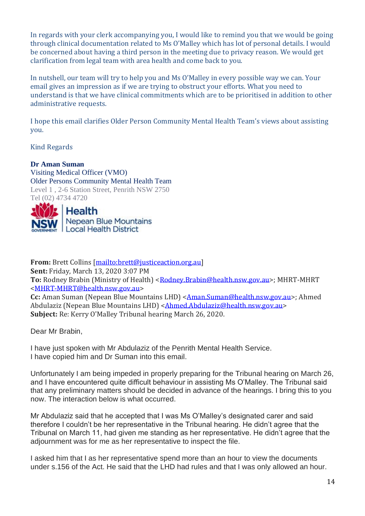In regards with your clerk accompanying you, I would like to remind you that we would be going through clinical documentation related to Ms O'Malley which has lot of personal details. I would be concerned about having a third person in the meeting due to privacy reason. We would get clarification from legal team with area health and come back to you.

In nutshell, our team will try to help you and Ms O'Malley in every possible way we can. Your email gives an impression as if we are trying to obstruct your efforts. What you need to understand is that we have clinical commitments which are to be prioritised in addition to other administrative requests.

I hope this email clarifies Older Person Community Mental Health Team's views about assisting you.

Kind Regards

**Dr Aman Suman**

Visiting Medical Officer (VMO) Older Persons Community Mental Health Team Level 1 , 2-6 Station Street, Penrith NSW 2750 Tel (02) 4734 4720



**From:** Brett Collins [\[mailto:brett@justiceaction.org.au\]](mailto:brett@justiceaction.org.au) **Sent:** Friday, March 13, 2020 3:07 PM **To:** Rodney Brabin (Ministry of Health) [<Rodney.Brabin@health.nsw.gov.au>](mailto:Rodney.Brabin@health.nsw.gov.au); MHRT-MHRT [<MHRT-MHRT@health.nsw.gov.au>](mailto:MHRT-MHRT@health.nsw.gov.au) **Cc:** Aman Suman (Nepean Blue Mountains LHD) [<Aman.Suman@health.nsw.gov.au>](mailto:Aman.Suman@health.nsw.gov.au); Ahmed Abdulaziz (Nepean Blue Mountains LHD) [<Ahmed.Abdulaziz@health.nsw.gov.au>](mailto:Ahmed.Abdulaziz@health.nsw.gov.au) **Subject:** Re: Kerry O'Malley Tribunal hearing March 26, 2020.

Dear Mr Brabin,

I have just spoken with Mr Abdulaziz of the Penrith Mental Health Service. I have copied him and Dr Suman into this email.

Unfortunately I am being impeded in properly preparing for the Tribunal hearing on March 26, and I have encountered quite difficult behaviour in assisting Ms O'Malley. The Tribunal said that any preliminary matters should be decided in advance of the hearings. I bring this to you now. The interaction below is what occurred.

Mr Abdulaziz said that he accepted that I was Ms O'Malley's designated carer and said therefore I couldn't be her representative in the Tribunal hearing. He didn't agree that the Tribunal on March 11, had given me standing as her representative. He didn't agree that the adjournment was for me as her representative to inspect the file.

I asked him that I as her representative spend more than an hour to view the documents under s.156 of the Act. He said that the LHD had rules and that I was only allowed an hour.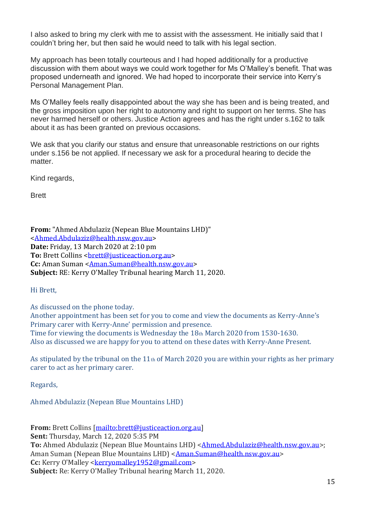I also asked to bring my clerk with me to assist with the assessment. He initially said that I couldn't bring her, but then said he would need to talk with his legal section.

My approach has been totally courteous and I had hoped additionally for a productive discussion with them about ways we could work together for Ms O'Malley's benefit. That was proposed underneath and ignored. We had hoped to incorporate their service into Kerry's Personal Management Plan.

Ms O'Malley feels really disappointed about the way she has been and is being treated, and the gross imposition upon her right to autonomy and right to support on her terms. She has never harmed herself or others. Justice Action agrees and has the right under s.162 to talk about it as has been granted on previous occasions.

We ask that you clarify our status and ensure that unreasonable restrictions on our rights under s.156 be not applied. If necessary we ask for a procedural hearing to decide the matter.

Kind regards,

Brett

**From:** "Ahmed Abdulaziz (Nepean Blue Mountains LHD)" [<Ahmed.Abdulaziz@health.nsw.gov.au>](mailto:Ahmed.Abdulaziz@health.nsw.gov.au) **Date:** Friday, 13 March 2020 at 2:10 pm **To:** Brett Collins < brett@justiceaction.org.au> **Cc:** Aman Suman [<Aman.Suman@health.nsw.gov.au>](mailto:Aman.Suman@health.nsw.gov.au) **Subject:** RE: Kerry O'Malley Tribunal hearing March 11, 2020.

Hi Brett,

As discussed on the phone today.

Another appointment has been set for you to come and view the documents as Kerry-Anne's Primary carer with Kerry-Anne' permission and presence. Time for viewing the documents is Wednesday the 18th March 2020 from 1530-1630. Also as discussed we are happy for you to attend on these dates with Kerry-Anne Present.

As stipulated by the tribunal on the 11th of March 2020 you are within your rights as her primary carer to act as her primary carer.

Regards,

Ahmed Abdulaziz (Nepean Blue Mountains LHD)

**From:** Brett Collins [\[mailto:brett@justiceaction.org.au\]](mailto:brett@justiceaction.org.au) **Sent:** Thursday, March 12, 2020 5:35 PM To: Ahmed Abdulaziz (Nepean Blue Mountains LHD) [<Ahmed.Abdulaziz@health.nsw.gov.au>](mailto:Ahmed.Abdulaziz@health.nsw.gov.au); Aman Suman (Nepean Blue Mountains LHD) < Aman. Suman@health.nsw.gov.au> Cc: Kerry O'Malley [<kerryomalley1952@gmail.com>](mailto:kerryomalley1952@gmail.com) **Subject:** Re: Kerry O'Malley Tribunal hearing March 11, 2020.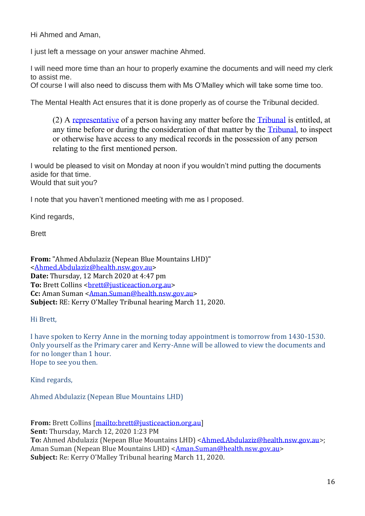Hi Ahmed and Aman,

I just left a message on your answer machine Ahmed.

I will need more time than an hour to properly examine the documents and will need my clerk to assist me.

Of course I will also need to discuss them with Ms O'Malley which will take some time too.

The Mental Health Act ensures that it is done properly as of course the Tribunal decided.

(2) A [representative](http://classic.austlii.edu.au/au/legis/nsw/consol_act/mha2007128/s96.html#representative) of a person having any matter before the [Tribunal](http://classic.austlii.edu.au/au/legis/nsw/consol_act/mha2007128/s4.html#tribunal) is entitled, at any time before or during the consideration of that matter by the [Tribunal,](http://classic.austlii.edu.au/au/legis/nsw/consol_act/mha2007128/s4.html#tribunal) to inspect or otherwise have access to any medical records in the possession of any person relating to the first mentioned person.

I would be pleased to visit on Monday at noon if you wouldn't mind putting the documents aside for that time. Would that suit you?

I note that you haven't mentioned meeting with me as I proposed.

Kind regards,

Brett

**From:** "Ahmed Abdulaziz (Nepean Blue Mountains LHD)" [<Ahmed.Abdulaziz@health.nsw.gov.au>](mailto:Ahmed.Abdulaziz@health.nsw.gov.au) **Date:** Thursday, 12 March 2020 at 4:47 pm To: Brett Collins < brett@justiceaction.org.au> **Cc:** Aman Suman [<Aman.Suman@health.nsw.gov.au>](mailto:Aman.Suman@health.nsw.gov.au) **Subject:** RE: Kerry O'Malley Tribunal hearing March 11, 2020.

Hi Brett,

I have spoken to Kerry Anne in the morning today appointment is tomorrow from 1430-1530. Only yourself as the Primary carer and Kerry-Anne will be allowed to view the documents and for no longer than 1 hour. Hope to see you then.

Kind regards,

Ahmed Abdulaziz (Nepean Blue Mountains LHD)

**From:** Brett Collins [\[mailto:brett@justiceaction.org.au\]](mailto:brett@justiceaction.org.au) **Sent:** Thursday, March 12, 2020 1:23 PM **To:** Ahmed Abdulaziz (Nepean Blue Mountains LHD) < Ahmed.Abdulaziz@health.nsw.gov.au>; Aman Suman (Nepean Blue Mountains LHD) < Aman. Suman@health.nsw.gov.au> **Subject:** Re: Kerry O'Malley Tribunal hearing March 11, 2020.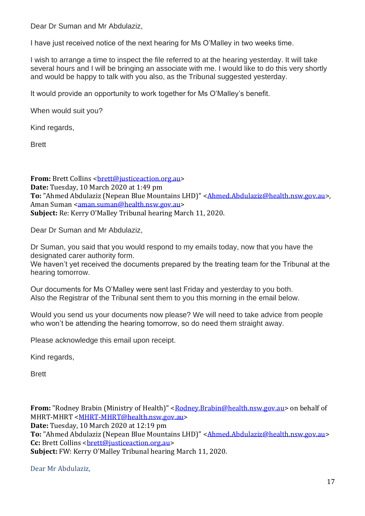Dear Dr Suman and Mr Abdulaziz,

I have just received notice of the next hearing for Ms O'Malley in two weeks time.

I wish to arrange a time to inspect the file referred to at the hearing yesterday. It will take several hours and I will be bringing an associate with me. I would like to do this very shortly and would be happy to talk with you also, as the Tribunal suggested yesterday.

It would provide an opportunity to work together for Ms O'Malley's benefit.

When would suit you?

Kind regards,

Brett

**From:** Brett Collins < brett@justiceaction.org.au> **Date:** Tuesday, 10 March 2020 at 1:49 pm To: "Ahmed Abdulaziz (Nepean Blue Mountains LHD)" < Ahmed.Abdulaziz@health.nsw.gov.au>, Aman Suman [<aman.suman@health.nsw.gov.au>](mailto:aman.suman@health.nsw.gov.au) **Subject:** Re: Kerry O'Malley Tribunal hearing March 11, 2020.

Dear Dr Suman and Mr Abdulaziz,

Dr Suman, you said that you would respond to my emails today, now that you have the designated carer authority form.

We haven't yet received the documents prepared by the treating team for the Tribunal at the hearing tomorrow.

Our documents for Ms O'Malley were sent last Friday and yesterday to you both. Also the Registrar of the Tribunal sent them to you this morning in the email below.

Would you send us your documents now please? We will need to take advice from people who won't be attending the hearing tomorrow, so do need them straight away.

Please acknowledge this email upon receipt.

Kind regards,

Brett

**From:** "Rodney Brabin (Ministry of Health)" [<Rodney.Brabin@health.nsw.gov.au>](mailto:Rodney.Brabin@health.nsw.gov.au) on behalf of MHRT-MHRT [<MHRT-MHRT@health.nsw.gov.au>](mailto:MHRT-MHRT@health.nsw.gov.au) **Date:** Tuesday, 10 March 2020 at 12:19 pm **To:** "Ahmed Abdulaziz (Nepean Blue Mountains LHD)" [<Ahmed.Abdulaziz@health.nsw.gov.au>](mailto:Ahmed.Abdulaziz@health.nsw.gov.au) **Cc:** Brett Collins < brett@justiceaction.org.au> **Subject:** FW: Kerry O'Malley Tribunal hearing March 11, 2020.

Dear Mr Abdulaziz,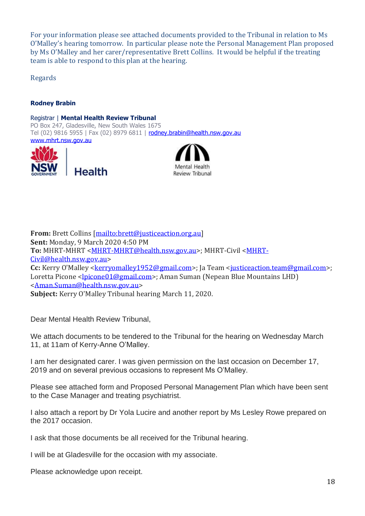For your information please see attached documents provided to the Tribunal in relation to Ms O'Malley's hearing tomorrow. In particular please note the Personal Management Plan proposed by Ms O'Malley and her carer/representative Brett Collins. It would be helpful if the treating team is able to respond to this plan at the hearing.

Regards

#### **Rodney Brabin**

Registrar | **Mental Health Review Tribunal** PO Box 247, Gladesville, New South Wales 1675 Tel (02) 9816 5955 | Fax (02) 8979 6811 | [rodney.brabin@health.nsw.gov.au](mailto:rodney.brabin@health.nsw.gov.au) [www.mhrt.nsw.gov.au](http://www.mhrt.nsw.gov.au/)





**From:** Brett Collins [\[mailto:brett@justiceaction.org.au\]](mailto:brett@justiceaction.org.au) **Sent:** Monday, 9 March 2020 4:50 PM **To:** MHRT-MHRT [<MHRT-MHRT@health.nsw.gov.au>](mailto:MHRT-MHRT@health.nsw.gov.au); MHRT-Civil [<MHRT-](mailto:MHRT-Civil@health.nsw.gov.au)[Civil@health.nsw.gov.au>](mailto:MHRT-Civil@health.nsw.gov.au) **Cc:** Kerry O'Malley [<kerryomalley1952@gmail.com>](mailto:kerryomalley1952@gmail.com); Ja Team <iusticeaction.team@gmail.com>; Loretta Picone [<lpicone01@gmail.com>](mailto:lpicone01@gmail.com); Aman Suman (Nepean Blue Mountains LHD) [<Aman.Suman@health.nsw.gov.au>](mailto:Aman.Suman@health.nsw.gov.au) **Subject:** Kerry O'Malley Tribunal hearing March 11, 2020.

Dear Mental Health Review Tribunal,

We attach documents to be tendered to the Tribunal for the hearing on Wednesday March 11, at 11am of Kerry-Anne O'Malley.

I am her designated carer. I was given permission on the last occasion on December 17, 2019 and on several previous occasions to represent Ms O'Malley.

Please see attached form and Proposed Personal Management Plan which have been sent to the Case Manager and treating psychiatrist.

I also attach a report by Dr Yola Lucire and another report by Ms Lesley Rowe prepared on the 2017 occasion.

I ask that those documents be all received for the Tribunal hearing.

I will be at Gladesville for the occasion with my associate.

Please acknowledge upon receipt.